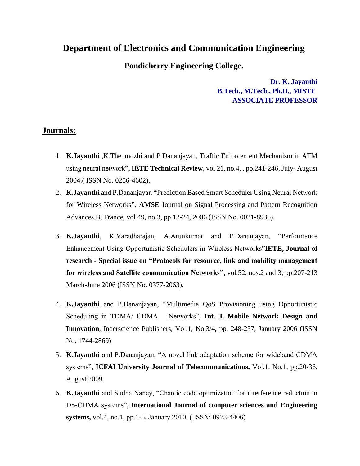## **Department of Electronics and Communication Engineering**

## **Pondicherry Engineering College.**

**Dr. K. Jayanthi B.Tech., M.Tech., Ph.D., MISTE ASSOCIATE PROFESSOR**

## **Journals:**

- 1. **K.Jayanthi** ,K.Thenmozhi and P.Dananjayan, Traffic Enforcement Mechanism in ATM using neural network", **IETE Technical Review**, vol 21, no.4, , pp.241-246, July- August 2004.( ISSN No. 0256-4602).
- 2. **K.Jayanthi** and P.Dananjayan **"**Prediction Based Smart Scheduler Using Neural Network for Wireless Networks**"**, **AMSE** Journal on Signal Processing and Pattern Recognition Advances B, France, vol 49, no.3, pp.13-24, 2006 (ISSN No. 0021-8936).
- 3. **K.Jayanthi**, K.Varadharajan, A.Arunkumar and P.Dananjayan, "Performance Enhancement Using Opportunistic Schedulers in Wireless Networks"**IETE, Journal of research - Special issue on "Protocols for resource, link and mobility management for wireless and Satellite communication Networks",** vol.52, nos.2 and 3, pp.207-213 March-June 2006 (ISSN No. 0377-2063).
- 4. **K.Jayanthi** and P.Dananjayan, "Multimedia QoS Provisioning using Opportunistic Scheduling in TDMA/ CDMA Networks", **Int. J. Mobile Network Design and Innovation**, Inderscience Publishers, Vol.1, No.3/4, pp. 248-257, January 2006 (ISSN No. 1744-2869)
- 5. **K.Jayanthi** and P.Dananjayan, "A novel link adaptation scheme for wideband CDMA systems", **ICFAI University Journal of Telecommunications,** Vol.1, No.1, pp.20-36, August 2009.
- 6. **K.Jayanthi** and Sudha Nancy, "Chaotic code optimization for interference reduction in DS-CDMA systems", **International Journal of computer sciences and Engineering systems,** vol.4, no.1, pp.1-6, January 2010. ( ISSN: 0973-4406)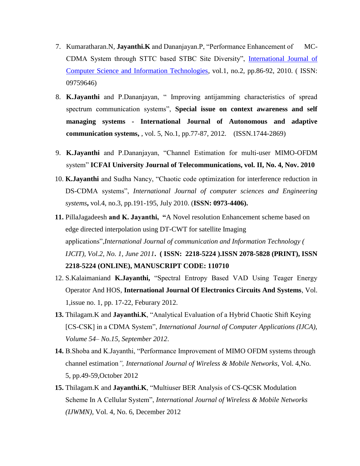- 7. Kumaratharan.N, **Jayanthi.K** and Dananjayan.P, "Performance Enhancement of MC-CDMA System through STTC based STBC Site Diversity", [International Journal of](http://www.doaj.org/doaj?func=openurl&issn=09759646&genre=journal)  [Computer Science and Information Technologies,](http://www.doaj.org/doaj?func=openurl&issn=09759646&genre=journal) vol.1, no.2, pp.86-92, 2010. ( ISSN: 09759646)
- 8. **K.Jayanthi** and P.Dananjayan, " Improving antijamming characteristics of spread spectrum communication systems", **Special issue on context awareness and self managing systems - International Journal of Autonomous and adaptive communication systems,** , vol. 5, No.1, pp.77-87, 2012. (ISSN.1744-2869)
- 9. **K.Jayanthi** and P.Dananjayan, "Channel Estimation for multi-user MIMO-OFDM system" **ICFAI University Journal of Telecommunications, vol. II, No. 4, Nov. 2010**
- 10. **K.Jayanthi** and Sudha Nancy, "Chaotic code optimization for interference reduction in DS-CDMA systems", *International Journal of computer sciences and Engineering systems***,** vol.4, no.3, pp.191-195, July 2010. (**ISSN: 0973-4406).**
- **11.** PillaJagadeesh **and K. Jayanthi, "**A Novel resolution Enhancement scheme based on edge directed interpolation using DT-CWT for satellite Imaging applications",*International Journal of communication and Information Technology ( IJCIT), Vol.2, No. 1, June 2011***. ( ISSN: 2218-5224 ).ISSN 2078-5828 (PRINT), ISSN 2218-5224 (ONLINE), MANUSCRIPT CODE: 110710**
- 12. S.Kalaimaniand **K.Jayanthi,** "Spectral Entropy Based VAD Using Teager Energy Operator And HOS, **International Journal Of Electronics Circuits And Systems**, Vol. 1,issue no. 1, pp. 17-22, Feburary 2012.
- **13.** Thilagam.K and **Jayanthi.K**, "Analytical Evaluation of a Hybrid Chaotic Shift Keying [CS-CSK] in a CDMA System", *International Journal of Computer Applications (IJCA)*, *Volume 54– No.15, September 2012*.
- **14.** B.Shoba and K.Jayanthi, "Performance Improvement of MIMO OFDM systems through channel estimation*", International Journal of Wireless & Mobile Networks*, Vol. 4,No. 5, pp.49-59,October 2012
- **15.** Thilagam.K and **Jayanthi.K**, "Multiuser BER Analysis of CS-QCSK Modulation Scheme In A Cellular System", *International Journal of Wireless & Mobile Networks (IJWMN),* Vol. 4, No. 6, December 2012